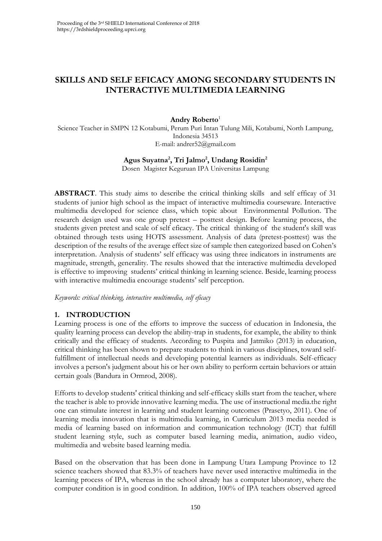# **SKILLS AND SELF EFICACY AMONG SECONDARY STUDENTS IN INTERACTIVE MULTIMEDIA LEARNING**

## **Andry Roberto**<sup>1</sup>

Science Teacher in SMPN 12 Kotabumi, Perum Puri Intan Tulung Mili, Kotabumi, North Lampung, Indonesia 34513 E-mail: andrer52@gmail.com

## **Agus Suyatna<sup>2</sup> , Tri Jalmo<sup>2</sup> , Undang Rosidin<sup>2</sup>**

Dosen Magister Keguruan IPA Universitas Lampung

**ABSTRACT**. This study aims to describe the critical thinking skills and self efficay of 31 students of junior high school as the impact of interactive multimedia courseware. Interactive multimedia developed for science class, which topic about Environmental Pollution. The research design used was one group pretest – posttest design. Before learning process, the students given pretest and scale of self eficacy. The critical thinking of the student's skill was obtained through tests using HOTS assessment. Analysis of data (pretest-posttest) was the description of the results of the average effect size of sample then categorized based on Cohen's interpretation. Analysis of students' self efficacy was using three indicators in instruments are magnitude, strength, generality. The results showed that the interactive multimedia developed is effective to improving students' critical thinking in learning science. Beside, learning process with interactive multimedia encourage students' self perception.

*Keywords: critical thinking, interactive multimedia, self eficacy*

## **1. INTRODUCTION**

Learning process is one of the efforts to improve the success of education in Indonesia, the quality learning process can develop the ability-trap in students, for example, the ability to think critically and the efficacy of students. According to Puspita and Jatmiko (2013) in education, critical thinking has been shown to prepare students to think in various disciplines, toward selffulfillment of intellectual needs and developing potential learners as individuals. Self-efficacy involves a person's judgment about his or her own ability to perform certain behaviors or attain certain goals (Bandura in Ormrod, 2008).

Efforts to develop students' critical thinking and self-efficacy skills start from the teacher, where the teacher is able to provide innovative learning media. The use of instructional media.the right one can stimulate interest in learning and student learning outcomes (Prasetyo, 2011). One of learning media innovation that is multimedia learning, in Curriculum 2013 media needed is media of learning based on information and communication technology (ICT) that fulfill student learning style, such as computer based learning media, animation, audio video, multimedia and website based learning media.

Based on the observation that has been done in Lampung Utara Lampung Province to 12 science teachers showed that 83.3% of teachers have never used interactive multimedia in the learning process of IPA, whereas in the school already has a computer laboratory, where the computer condition is in good condition. In addition, 100% of IPA teachers observed agreed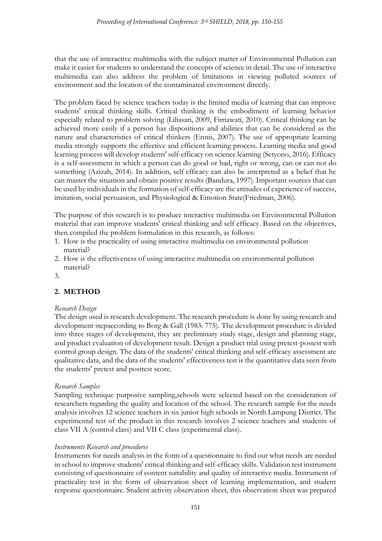that the use of interactive multimedia with the subject matter of Environmental Pollution can make it easier for students to understand the concepts of science in detail. The use of interactive multimedia can also address the problem of limitations in viewing polluted sources of environment and the location of the contaminated environment directly.

The problem faced by science teachers today is the limited media of learning that can improve students' critical thinking skills. Critical thinking is the embodiment of learning behavior especially related to problem solving (Liliasari, 2009, Fitriawati, 2010). Critical thinking can be achieved more easily if a person has dispositions and abilities that can be considered as the nature and characteristics of critical thinkers (Ennis, 2007). The use of appropriate learning media strongly supports the effective and efficient learning process. Learning media and good learning process will develop students' self-efficacy on science learning (Setyono, 2016). Efficacy is a self-assessment in which a person can do good or bad, right or wrong, can or can not do something (Azizah, 2014). In addition, self efficacy can also be interpreted as a belief that he can master the situation and obtain positive results (Bandura, 1997). Important sources that can be used by individuals in the formation of self-efficacy are the attitudes of experience of success, imitation, social persuasion, and Physiological & Emotion State(Friedman, 2006).

The purpose of this research is to produce interactive multimedia on Environmental Pollution material that can improve students' critical thinking and self efficacy. Based on the objectives, then compiled the problem formulation in this research, as follows:

- 1. How is the practicality of using interactive multimedia on environmental pollution material?
- 2. How is the effectiveness of using interactive multimedia on environmental pollution material?
- 3.

# **2. METHOD**

## *Research Design*

The design used is research development. The research procedure is done by using research and development stepaccording to Borg & Gall (1983: 775). The development procedure is divided into three stages of development, they are preliminary study stage, design and planning stage, and product evaluation of development result. Design a product trial using pretest-postest with control group design. The data of the students' critical thinking and self-efficacy assessment are qualitative data, and the data of the students' effectiveness test is the quantitative data seen from the students' pretest and posttest score.

## *Research Samples*

Sampling technique purposive sampling,schools were selected based on the consideration of researchers regarding the quality and location of the school. The research sample for the needs analysis involves 12 science teachers in six junior high schools in North Lampung District. The experimental test of the product in this research involves 2 science teachers and students of class VII A (control class) and VII C class (experimental class).

## *Instruments Research and procedures*

Instruments for needs analysis in the form of a questionnaire to find out what needs are needed in school to improve students' critical thinking and self-efficacy skills. Validation test instrument consisting of questionnaire of content suitability and quality of interactive media. Instrument of practicality test in the form of observation sheet of learning implementation, and student response questionnaire. Student activity observation sheet, this observation sheet was prepared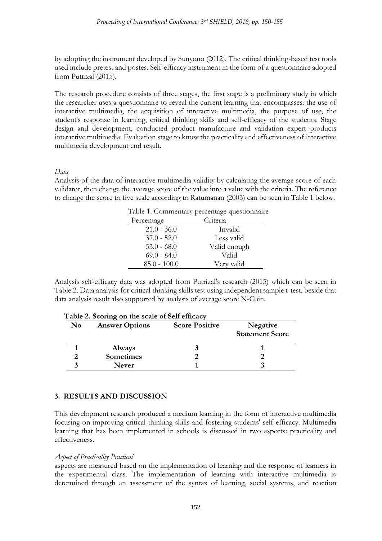by adopting the instrument developed by Sunyono (2012). The critical thinking-based test tools used include pretest and postes. Self-efficacy instrument in the form of a questionnaire adopted from Putrizal (2015).

The research procedure consists of three stages, the first stage is a preliminary study in which the researcher uses a questionnaire to reveal the current learning that encompasses: the use of interactive multimedia, the acquisition of interactive multimedia, the purpose of use, the student's response in learning, critical thinking skills and self-efficacy of the students. Stage design and development, conducted product manufacture and validation expert products interactive multimedia. Evaluation stage to know the practicality and effectiveness of interactive multimedia development end result.

## *Data*

Analysis of the data of interactive multimedia validity by calculating the average score of each validator, then change the average score of the value into a value with the criteria. The reference to change the score to five scale according to Ratumanan (2003) can be seen in Table 1 below.

|                | Table 1. Commentary percentage questionnaire |
|----------------|----------------------------------------------|
| Percentage     | Criteria                                     |
| $21.0 - 36.0$  | Invalid                                      |
| $37.0 - 52.0$  | Less valid                                   |
| $53.0 - 68.0$  | Valid enough                                 |
| $69.0 - 84.0$  | Valid                                        |
| $85.0 - 100.0$ | Very valid                                   |

Analysis self-efficacy data was adopted from Putrizal's research (2015) which can be seen in Table 2. Data analysis for critical thinking skills test using independent sample t-test, beside that data analysis result also supported by analysis of average score N-Gain.

| Table 2. Scoring on the scale of Self efficacy |                       |                       |                                    |  |  |
|------------------------------------------------|-----------------------|-----------------------|------------------------------------|--|--|
| $\mathbf{N}\mathbf{o}$                         | <b>Answer Options</b> | <b>Score Positive</b> | Negative<br><b>Statement Score</b> |  |  |
|                                                | <b>Always</b>         |                       |                                    |  |  |
|                                                | <b>Sometimes</b>      |                       |                                    |  |  |
|                                                | <b>Never</b>          |                       |                                    |  |  |

## **Table 2. Scoring on the scale of Self efficacy**

## **3. RESULTS AND DISCUSSION**

This development research produced a medium learning in the form of interactive multimedia focusing on improving critical thinking skills and fostering students' self-efficacy. Multimedia learning that has been implemented in schools is discussed in two aspects: practicality and effectiveness.

## *Aspect of Practicality Practical*

aspects are measured based on the implementation of learning and the response of learners in the experimental class. The implementation of learning with interactive multimedia is determined through an assessment of the syntax of learning, social systems, and reaction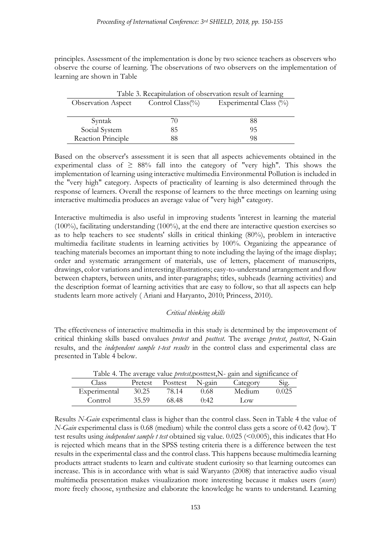principles. Assessment of the implementation is done by two science teachers as observers who observe the course of learning. The observations of two observers on the implementation of learning are shown in Table

| Table 3. Recapitulation of observation result of learning |                  |                            |  |  |
|-----------------------------------------------------------|------------------|----------------------------|--|--|
| <b>Observation Aspect</b>                                 | Control Class(%) | Experimental Class $(\% )$ |  |  |
|                                                           |                  |                            |  |  |
| Syntak                                                    | (1)              | 88                         |  |  |
| Social System                                             | 85               | 95                         |  |  |
| Reaction Principle                                        | 88               | 98                         |  |  |

Based on the observer's assessment it is seen that all aspects achievements obtained in the experimental class of  $\geq 88\%$  fall into the category of "very high". This shows the implementation of learning using interactive multimedia Environmental Pollution is included in the "very high" category. Aspects of practicality of learning is also determined through the response of learners. Overall the response of learners to the three meetings on learning using interactive multimedia produces an average value of "very high" category.

Interactive multimedia is also useful in improving students 'interest in learning the material (100%), facilitating understanding (100%), at the end there are interactive question exercises so as to help teachers to see students' skills in critical thinking (80%), problem in interactive multimedia facilitate students in learning activities by 100%. Organizing the appearance of teaching materials becomes an important thing to note including the laying of the image display; order and systematic arrangement of materials, use of letters, placement of manuscripts, drawings, color variations and interesting illustrations; easy-to-understand arrangement and flow between chapters, between units, and inter-paragraphs; titles, subheads (learning activities) and the description format of learning activities that are easy to follow, so that all aspects can help students learn more actively ( Ariani and Haryanto, 2010; Princess, 2010).

## *Critical thinking skills*

The effectiveness of interactive multimedia in this study is determined by the improvement of critical thinking skills based onvalues *pretest* and *posttest*. The average *pretest*, *posttest*, N-Gain results, and the *independent sample t-test results* in the control class and experimental class are presented in Table 4 below.

| Table 4. The average value <i>preesi</i> , positiest, IN-gain and significance of |       |                         |       |                 |       |  |  |
|-----------------------------------------------------------------------------------|-------|-------------------------|-------|-----------------|-------|--|--|
| Class <sup>1</sup>                                                                |       | Pretest Posttest N-gain |       | Category        | Sig.  |  |  |
| Experimental                                                                      | 30.25 | 78.14                   | 0.68  | Medium          | 0.025 |  |  |
| Control                                                                           | 35.59 | 68.48                   | ():42 | $_{\text{low}}$ |       |  |  |

Table 4. The average value *pretest,*posttest,N- gain and significance of

Results *N-Gain* experimental class is higher than the control class. Seen in Table 4 the value of *N-Gain* experimental class is 0.68 (medium) while the control class gets a score of 0.42 (low). T test results using *independent sample t test* obtained sig value. 0.025 (<0.005), this indicates that Ho is rejected which means that in the SPSS testing criteria there is a difference between the test results in the experimental class and the control class. This happens because multimedia learning products attract students to learn and cultivate student curiosity so that learning outcomes can increase. This is in accordance with what is said Waryanto (2008) that interactive audio visual multimedia presentation makes visualization more interesting because it makes users (*users*) more freely choose, synthesize and elaborate the knowledge he wants to understand. Learning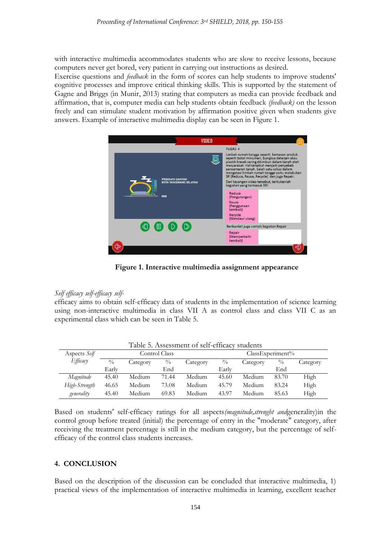with interactive multimedia accommodates students who are slow to receive lessons, because computers never get bored, very patient in carrying out instructions as desired.

Exercise questions and *feedback* in the form of scores can help students to improve students' cognitive processes and improve critical thinking skills. This is supported by the statement of Gagne and Briggs (in Munir, 2013) stating that computers as media can provide feedback and affirmation, that is, computer media can help students obtain feedback *(feedback)* on the lesson freely and can stimulate student motivation by affirmation positive given when students give answers. Example of interactive multimedia display can be seen in Figure 1.



**Figure 1. Interactive multimedia assignment appearance**

#### *Self efficacy self-efficacy self-*

efficacy aims to obtain self-efficacy data of students in the implementation of science learning using non-interactive multimedia in class VII A as control class and class VII C as an experimental class which can be seen in Table 5.

| Table 5. Assessment of self-efficacy students |               |          |               |                     |               |          |               |          |
|-----------------------------------------------|---------------|----------|---------------|---------------------|---------------|----------|---------------|----------|
| Aspects Self                                  | Control Class |          |               | $ClassExperiment\%$ |               |          |               |          |
| Efficacy                                      | $\frac{0}{0}$ | Category | $\frac{0}{0}$ | Category            | $\frac{0}{0}$ | Category | $\frac{0}{0}$ | Category |
|                                               | Early         |          | End           |                     | Early         |          | End           |          |
| Magnitude                                     | 45.40         | Medium   | 71.44         | Medium              | 45.60         | Medium   | 83.70         | High     |
| High-Strength                                 | 46.65         | Medium   | 73.08         | Medium              | 45.79         | Medium   | 83.24         | High     |
| generality                                    | 45.40         | Medium   | 69.83         | Medium              | 43.97         | Medium   | 85.63         | High     |

Based on students' self-efficacy ratings for all aspects*(magnitude,strenght and*generality)in the control group before treated (initial) the percentage of entry in the "moderate" category, after receiving the treatment percentage is still in the medium category, but the percentage of selfefficacy of the control class students increases.

#### **4. CONCLUSION**

Based on the description of the discussion can be concluded that interactive multimedia, 1) practical views of the implementation of interactive multimedia in learning, excellent teacher